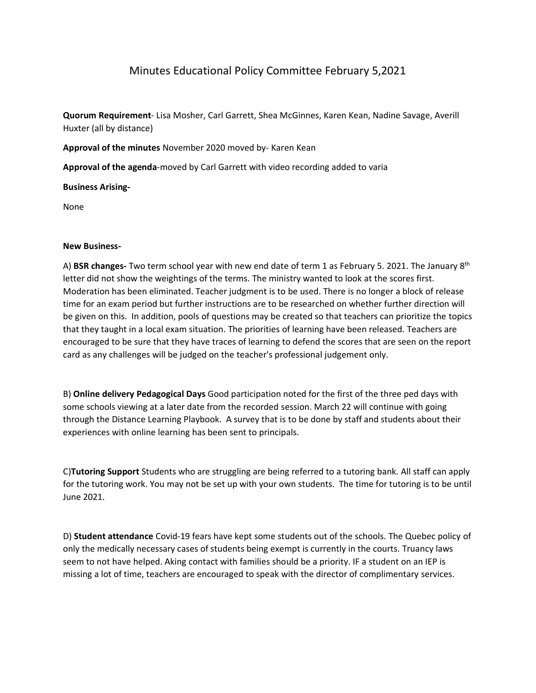## Minutes Educational Policy Committee February 5,2021

**Quorum Requirement**- Lisa Mosher, Carl Garrett, Shea McGinnes, Karen Kean, Nadine Savage, Averill Huxter (all by distance)

**Approval of the minutes** November 2020 moved by- Karen Kean

**Approval of the agenda**-moved by Carl Garrett with video recording added to varia

**Business Arising-**

None

## **New Business-**

A) **BSR changes-** Two term school year with new end date of term 1 as February 5. 2021. The January 8th letter did not show the weightings of the terms. The ministry wanted to look at the scores first. Moderation has been eliminated. Teacher judgment is to be used. There is no longer a block of release time for an exam period but further instructions are to be researched on whether further direction will be given on this. In addition, pools of questions may be created so that teachers can prioritize the topics that they taught in a local exam situation. The priorities of learning have been released. Teachers are encouraged to be sure that they have traces of learning to defend the scores that are seen on the report card as any challenges will be judged on the teacher's professional judgement only.

B) **Online delivery Pedagogical Days** Good participation noted for the first of the three ped days with some schools viewing at a later date from the recorded session. March 22 will continue with going through the Distance Learning Playbook. A survey that is to be done by staff and students about their experiences with online learning has been sent to principals.

C)**Tutoring Support** Students who are struggling are being referred to a tutoring bank. All staff can apply for the tutoring work. You may not be set up with your own students. The time for tutoring is to be until June 2021.

D) **Student attendance** Covid-19 fears have kept some students out of the schools. The Quebec policy of only the medically necessary cases of students being exempt is currently in the courts. Truancy laws seem to not have helped. Aking contact with families should be a priority. IF a student on an IEP is missing a lot of time, teachers are encouraged to speak with the director of complimentary services.